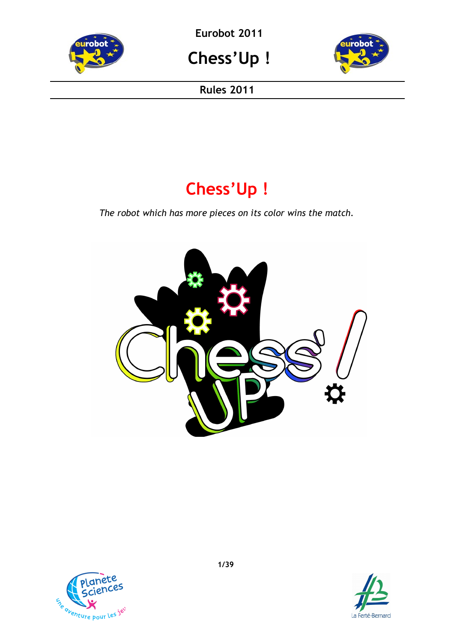





### **Rules 2011**

# **Chess'Up !**

*The robot which has more pieces on its color wins the match.*





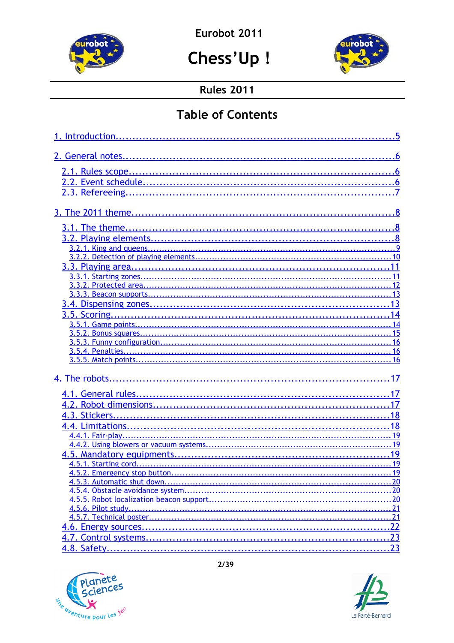

# Chess'Up!



### **Rules 2011**

### **Table of Contents**

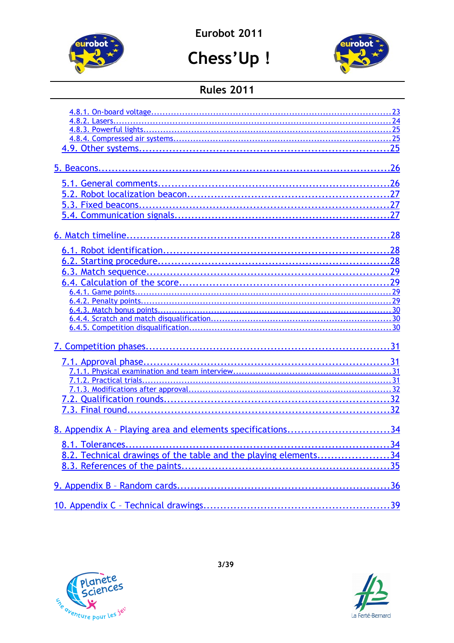

Chess'Up!



### **Rules 2011**

| 8. Appendix A - Playing area and elements specifications34      |    |
|-----------------------------------------------------------------|----|
|                                                                 |    |
| 8.2. Technical drawings of the table and the playing elements34 |    |
|                                                                 |    |
|                                                                 |    |
|                                                                 |    |
|                                                                 | 39 |



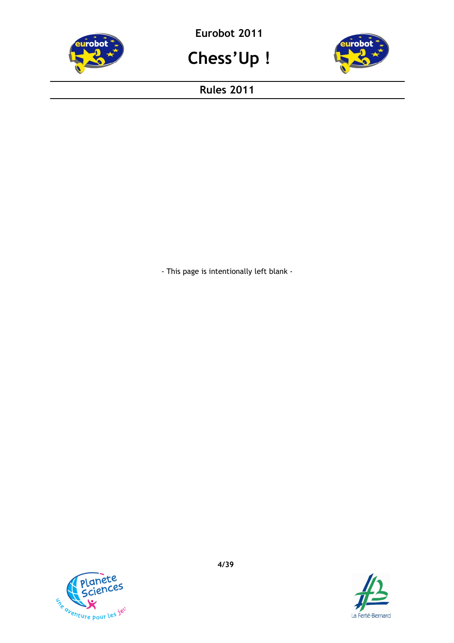





**Rules 2011**

- This page is intentionally left blank -



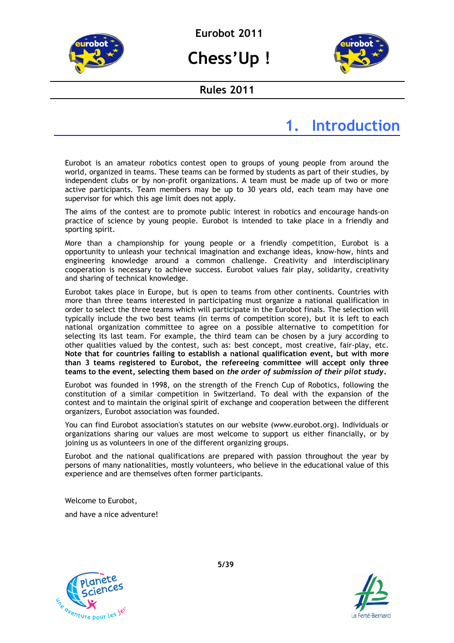

**Chess'Up !**



#### **Rules 2011**

## <span id="page-4-0"></span>**1. Introduction**

Eurobot is an amateur robotics contest open to groups of young people from around the world, organized in teams. These teams can be formed by students as part of their studies, by independent clubs or by non-profit organizations. A team must be made up of two or more active participants. Team members may be up to 30 years old, each team may have one supervisor for which this age limit does not apply.

The aims of the contest are to promote public interest in robotics and encourage hands-on practice of science by young people. Eurobot is intended to take place in a friendly and sporting spirit.

More than a championship for young people or a friendly competition, Eurobot is a opportunity to unleash your technical imagination and exchange ideas, know-how, hints and engineering knowledge around a common challenge. Creativity and interdisciplinary cooperation is necessary to achieve success. Eurobot values fair play, solidarity, creativity and sharing of technical knowledge.

Eurobot takes place in Europe, but is open to teams from other continents. Countries with more than three teams interested in participating must organize a national qualification in order to select the three teams which will participate in the Eurobot finals. The selection will typically include the two best teams (in terms of competition score), but it is left to each national organization committee to agree on a possible alternative to competition for selecting its last team. For example, the third team can be chosen by a jury according to other qualities valued by the contest, such as: best concept, most creative, fair-play, etc. **Note that for countries failing to establish a national qualification event, but with more than 3 teams registered to Eurobot, the refereeing committee will accept only three teams to the event, selecting them based on** *the order of submission of their pilot study***.**

Eurobot was founded in 1998, on the strength of the French Cup of Robotics, following the constitution of a similar competition in Switzerland. To deal with the expansion of the contest and to maintain the original spirit of exchange and cooperation between the different organizers, Eurobot association was founded.

You can find Eurobot association's statutes on our website (www.eurobot.org). Individuals or organizations sharing our values are most welcome to support us either financially, or by joining us as volunteers in one of the different organizing groups.

Eurobot and the national qualifications are prepared with passion throughout the year by persons of many nationalities, mostly volunteers, who believe in the educational value of this experience and are themselves often former participants.

Welcome to Eurobot,

and have a nice adventure!



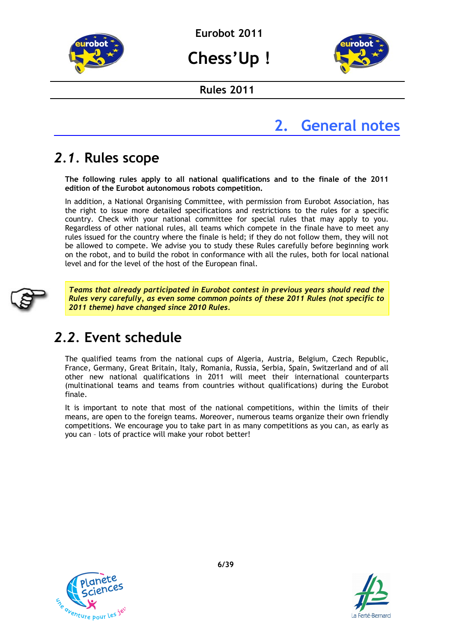



#### **Rules 2011**

# <span id="page-5-2"></span>**2. General notes**

### <span id="page-5-1"></span>*2.1.* **Rules scope**

**The following rules apply to all national qualifications and to the finale of the 2011 edition of the Eurobot autonomous robots competition.** 

In addition, a National Organising Committee, with permission from Eurobot Association, has the right to issue more detailed specifications and restrictions to the rules for a specific country. Check with your national committee for special rules that may apply to you. Regardless of other national rules, all teams which compete in the finale have to meet any rules issued for the country where the finale is held; if they do not follow them, they will not be allowed to compete. We advise you to study these Rules carefully before beginning work on the robot, and to build the robot in conformance with all the rules, both for local national level and for the level of the host of the European final.



*Teams that already participated in Eurobot contest in previous years should read the Rules very carefully, as even some common points of these 2011 Rules (not specific to 2011 theme) have changed since 2010 Rules.*

### <span id="page-5-0"></span>*2.2.* **Event schedule**

The qualified teams from the national cups of Algeria, Austria, Belgium, Czech Republic, France, Germany, Great Britain, Italy, Romania, Russia, Serbia, Spain, Switzerland and of all other new national qualifications in 2011 will meet their international counterparts (multinational teams and teams from countries without qualifications) during the Eurobot finale.

It is important to note that most of the national competitions, within the limits of their means, are open to the foreign teams. Moreover, numerous teams organize their own friendly competitions. We encourage you to take part in as many competitions as you can, as early as you can – lots of practice will make your robot better!



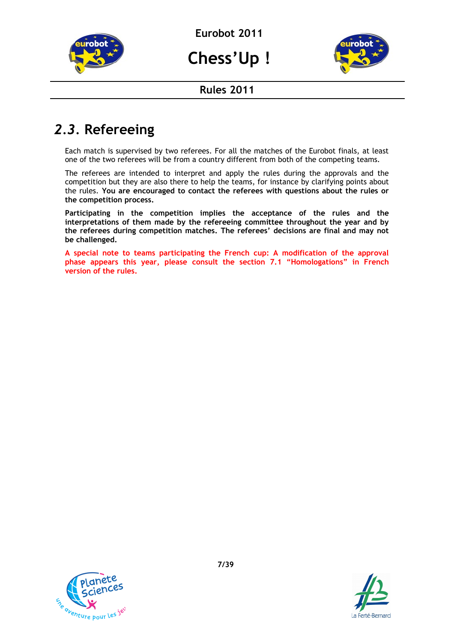



### **Rules 2011**

### *2.3.* **Refereeing**

<span id="page-6-0"></span>Each match is supervised by two referees. For all the matches of the Eurobot finals, at least one of the two referees will be from a country different from both of the competing teams.

The referees are intended to interpret and apply the rules during the approvals and the competition but they are also there to help the teams, for instance by clarifying points about the rules. **You are encouraged to contact the referees with questions about the rules or the competition process.**

**Participating in the competition implies the acceptance of the rules and the interpretations of them made by the refereeing committee throughout the year and by the referees during competition matches. The referees' decisions are final and may not be challenged.**

**A special note to teams participating the French cup: A modification of the approval phase appears this year, please consult the section 7.1 "Homologations" in French version of the rules.**



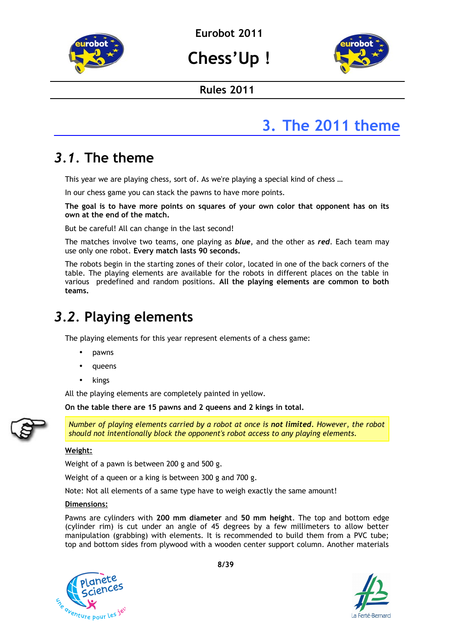

### **Chess'Up !**



#### **Rules 2011**

# <span id="page-7-2"></span>**3. The 2011 theme**

### <span id="page-7-1"></span>*3.1.* **The theme**

This year we are playing chess, sort of. As we're playing a special kind of chess …

In our chess game you can stack the pawns to have more points.

**The goal is to have more points on squares of your own color that opponent has on its own at the end of the match.**

But be careful! All can change in the last second!

The matches involve two teams, one playing as *blue*, and the other as *red*. Each team may use only one robot. **Every match lasts 90 seconds.**

The robots begin in the starting zones of their color, located in one of the back corners of the table. The playing elements are available for the robots in different places on the table in various predefined and random positions. **All the playing elements are common to both teams.**

### <span id="page-7-0"></span>*3.2.* **Playing elements**

The playing elements for this year represent elements of a chess game:

- pawns
- queens
- kings

All the playing elements are completely painted in yellow.

**On the table there are 15 pawns and 2 queens and 2 kings in total.**



*Number of playing elements carried by a robot at once is not limited. However, the robot should not intentionally block the opponent's robot access to any playing elements.*

#### **Weight:**

Weight of a pawn is between 200 g and 500 g.

Weight of a queen or a king is between 300 g and 700 g.

Note: Not all elements of a same type have to weigh exactly the same amount!

#### **Dimensions:**

Pawns are cylinders with **200 mm diameter** and **50 mm height**. The top and bottom edge (cylinder rim) is cut under an angle of 45 degrees by a few millimeters to allow better manipulation (grabbing) with elements. It is recommended to build them from a PVC tube; top and bottom sides from plywood with a wooden center support column. Another materials



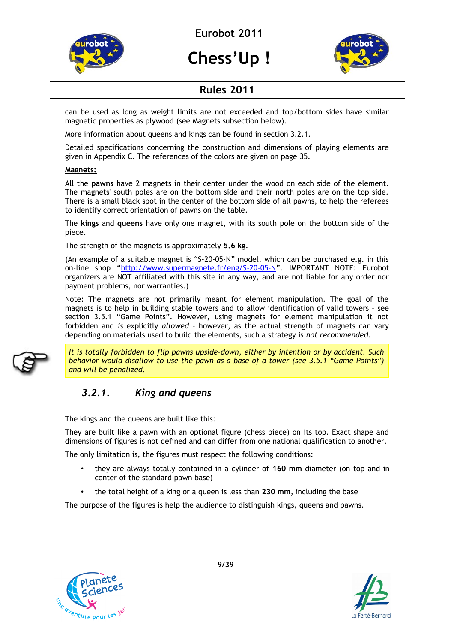

**Chess'Up !**



### **Rules 2011**

can be used as long as weight limits are not exceeded and top/bottom sides have similar magnetic properties as plywood (see Magnets subsection below).

More information about queens and kings can be found in section 3.2.1.

Detailed specifications concerning the construction and dimensions of playing elements are given in Appendix C. The references of the colors are given on page [35.](#page-34-0)

#### **Magnets:**

All the **pawns** have 2 magnets in their center under the wood on each side of the element. The magnets' south poles are on the bottom side and their north poles are on the top side. There is a small black spot in the center of the bottom side of all pawns, to help the referees to identify correct orientation of pawns on the table.

The **kings** and **queens** have only one magnet, with its south pole on the bottom side of the piece.

The strength of the magnets is approximately **5.6 kg**.

(An example of a suitable magnet is "S-20-05-N" model, which can be purchased e.g. in this on-line shop ["http://www.supermagnete.fr/eng/S-20-05-N"](http://www.supermagnete.fr/eng/S-20-05-N). IMPORTANT NOTE: Eurobot organizers are NOT affiliated with this site in any way, and are not liable for any order nor payment problems, nor warranties.)

Note: The magnets are not primarily meant for element manipulation. The goal of the magnets is to help in building stable towers and to allow identification of valid towers – see section 3.5.1 "Game Points". However, using magnets for element manipulation it not forbidden and *is* explicitly *allowed* – however, as the actual strength of magnets can vary depending on materials used to build the elements, such a strategy is *not recommended*.



*It is totally forbidden to flip pawns upside-down, either by intention or by accident. Such behavior would disallow to use the pawn as a base of a tower (see 3.5.1 "Game Points") and will be penalized.* 

#### <span id="page-8-0"></span>*3.2.1. King and queens*

The kings and the queens are built like this:

They are built like a pawn with an optional figure (chess piece) on its top. Exact shape and dimensions of figures is not defined and can differ from one national qualification to another.

The only limitation is, the figures must respect the following conditions:

- they are always totally contained in a cylinder of **160 mm** diameter (on top and in center of the standard pawn base)
- the total height of a king or a queen is less than **230 mm**, including the base

The purpose of the figures is help the audience to distinguish kings, queens and pawns.



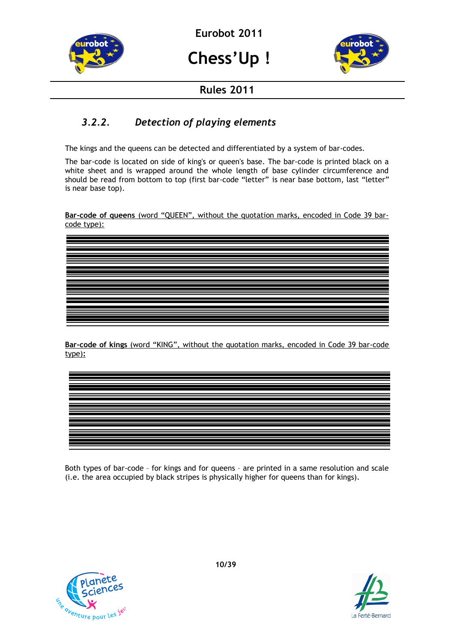

**Chess'Up !**



### **Rules 2011**

### <span id="page-9-0"></span>*3.2.2. Detection of playing elements*

The kings and the queens can be detected and differentiated by a system of bar-codes.

The bar-code is located on side of king's or queen's base. The bar-code is printed black on a white sheet and is wrapped around the whole length of base cylinder circumference and should be read from bottom to top (first bar-code "letter" is near base bottom, last "letter" is near base top).

 **Bar-code of queens** (word "QUEEN", without the quotation marks, encoded in Code 39 barcode type):

 **Bar-code of kings** (word "KING", without the quotation marks, encoded in Code 39 bar-code type) **:**

Both types of bar-code – for kings and for queens – are printed in a same resolution and scale (i.e. the area occupied by black stripes is physically higher for queens than for kings).



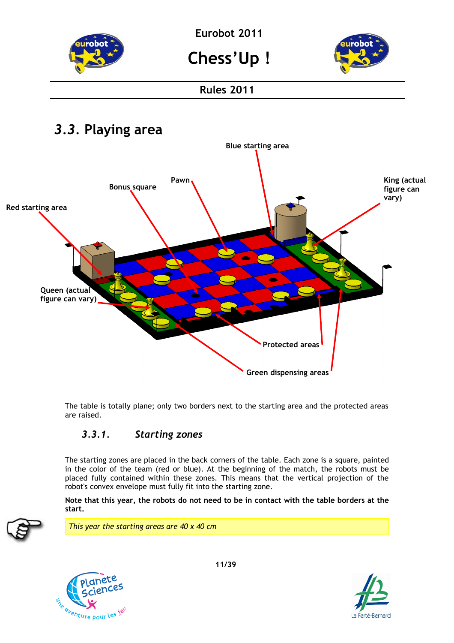

<span id="page-10-1"></span>

The table is totally plane; only two borders next to the starting area and the protected areas are raised.

#### <span id="page-10-0"></span>*3.3.1. Starting zones*

The starting zones are placed in the back corners of the table. Each zone is a square, painted in the color of the team (red or blue). At the beginning of the match, the robots must be placed fully contained within these zones. This means that the vertical projection of the robot's convex envelope must fully fit into the starting zone.

**Note that this year, the robots do not need to be in contact with the table borders at the start.**



*This year the starting areas are 40 x 40 cm*



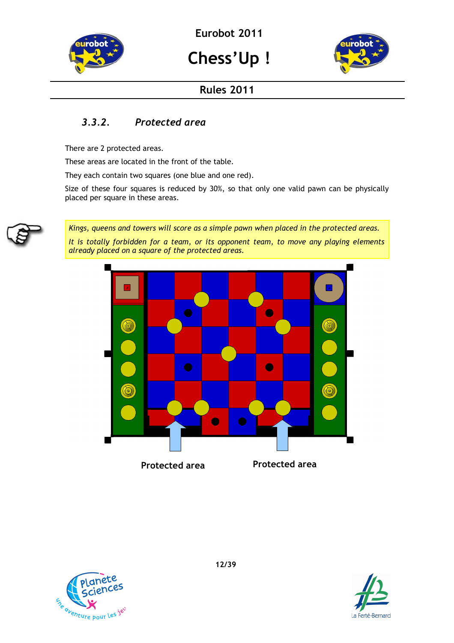

# **Chess'Up !**



### **Rules 2011**

### <span id="page-11-0"></span>*3.3.2. Protected area*

There are 2 protected areas.

These areas are located in the front of the table.

They each contain two squares (one blue and one red).

Size of these four squares is reduced by 30%, so that only one valid pawn can be physically placed per square in these areas.



*Kings, queens and towers will score as a simple pawn when placed in the protected areas.*

*It is totally forbidden for a team, or its opponent team, to move any playing elements already placed on a square of the protected areas.*





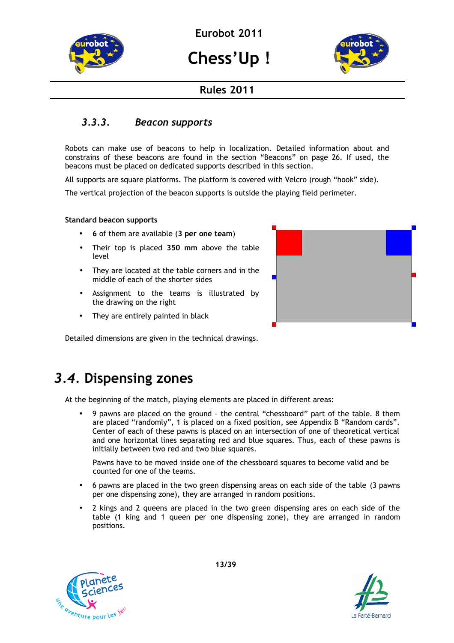

**Chess'Up !**



### **Rules 2011**

#### <span id="page-12-1"></span>*3.3.3. Beacon supports*

Robots can make use of beacons to help in localization. Detailed information about and constrains of these beacons are found in the section "Beacons" on page 26. If used, the beacons must be placed on dedicated supports described in this section.

All supports are square platforms. The platform is covered with Velcro (rough "hook" side).

The vertical projection of the beacon supports is outside the playing field perimeter.

#### **Standard beacon supports**

- **6** of them are available (**3 per one team**)
- Their top is placed **350 mm** above the table level
- They are located at the table corners and in the middle of each of the shorter sides
- Assignment to the teams is illustrated by the drawing on the right
- They are entirely painted in black

Detailed dimensions are given in the technical drawings.



### <span id="page-12-0"></span>*3.4.* **Dispensing zones**

At the beginning of the match, playing elements are placed in different areas:

• 9 pawns are placed on the ground – the central "chessboard" part of the table. 8 them are placed "randomly", 1 is placed on a fixed position, see Appendix B "Random cards". Center of each of these pawns is placed on an intersection of one of theoretical vertical and one horizontal lines separating red and blue squares. Thus, each of these pawns is initially between two red and two blue squares.

Pawns have to be moved inside one of the chessboard squares to become valid and be counted for one of the teams.

- 6 pawns are placed in the two green dispensing areas on each side of the table (3 pawns per one dispensing zone), they are arranged in random positions.
- 2 kings and 2 queens are placed in the two green dispensing ares on each side of the table (1 king and 1 queen per one dispensing zone), they are arranged in random positions.



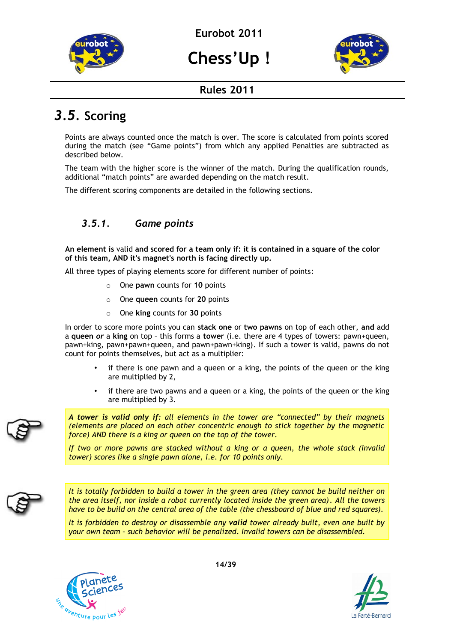



### **Rules 2011**

### <span id="page-13-1"></span>*3.5.* **Scoring**

Points are always counted once the match is over. The score is calculated from points scored during the match (see "Game points") from which any applied Penalties are subtracted as described below.

The team with the higher score is the winner of the match. During the qualification rounds, additional "match points" are awarded depending on the match result.

The different scoring components are detailed in the following sections.

#### <span id="page-13-0"></span>*3.5.1. Game points*

**An element is** valid **and scored for a team only if: it is contained in a square of the color of this team, AND it's magnet's north is facing directly up.**

All three types of playing elements score for different number of points:

- o One **pawn** counts for **10** points
- o One **queen** counts for **20** points
- o One **king** counts for **30** points

In order to score more points you can **stack one** or **two pawns** on top of each other, **and** add a **queen** *or* a **king** on top – this forms a **tower** (i.e. there are 4 types of towers: pawn+queen, pawn+king, pawn+pawn+queen, and pawn+pawn+king). If such a tower is valid, pawns do not count for points themselves, but act as a multiplier:

- if there is one pawn and a queen or a king, the points of the queen or the king are multiplied by 2,
- if there are two pawns and a queen or a king, the points of the queen or the king are multiplied by 3.

*A tower is valid only if: all elements in the tower are "connected" by their magnets (elements are placed on each other concentric enough to stick together by the magnetic force) AND there is a king or queen on the top of the tower.*

*If two or more pawns are stacked without a king or a queen, the whole stack (invalid tower) scores like a single pawn alone, i.e. for 10 points only.*



*It is totally forbidden to build a tower in the green area (they cannot be build neither on the area itself, nor inside a robot currently located inside the green area). All the towers have to be build on the central area of the table (the chessboard of blue and red squares).*

*It is forbidden to destroy or disassemble any valid tower already built, even one built by your own team – such behavior will be penalized. Invalid towers can be disassembled.*



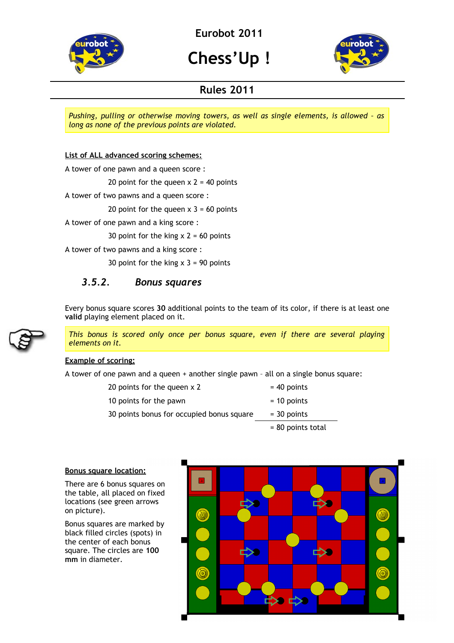

**Chess'Up !**



### **Rules 2011**

*Pushing, pulling or otherwise moving towers, as well as single elements, is allowed – as long as none of the previous points are violated.*

#### **List of ALL advanced scoring schemes :**

A tower of one pawn and a queen score :

20 point for the queen  $x$  2 = 40 points

A tower of two pawns and a queen score :

20 point for the queen  $x$  3 = 60 points

A tower of one pawn and a king score :

30 point for the king  $x$  2 = 60 points

A tower of two pawns and a king score :

<span id="page-14-0"></span>30 point for the king  $x$  3 = 90 points

#### *3.5.2. Bonus squares*

Every bonus square scores **30** additional points to the team of its color, if there is at least one **valid** playing element placed on it.



*This bonus is scored only once per bonus square, even if there are several playing elements on it.*

#### **Example of scoring:**

A tower of one pawn and a queen + another single pawn – all on a single bonus square:

|                                           | $= 80$ points total |
|-------------------------------------------|---------------------|
| 30 points bonus for occupied bonus square | $=$ 30 points       |
| 10 points for the pawn                    | $= 10$ points       |
| 20 points for the queen x 2               | $= 40$ points       |

#### **Bonus square location:**

There are 6 bonus squares on the table, all placed on fixed locations (see green arrows on picture).

Bonus squares are marked by black filled circles (spots) in the center of each bonus square. The circles are **100 mm** in diameter.

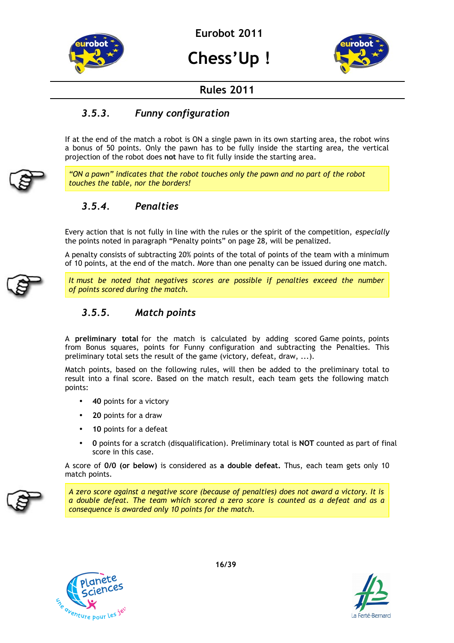

**Chess'Up !**



### **Rules 2011**

### <span id="page-15-2"></span>*3.5.3. Funny configuration*

If at the end of the match a robot is ON a single pawn in its own starting area, the robot wins a bonus of 50 points. Only the pawn has to be fully inside the starting area, the vertical projection of the robot does **not** have to fit fully inside the starting area.

*"ON a pawn" indicates that the robot touches only the pawn and no part of the robot touches the table, nor the borders!*

#### <span id="page-15-1"></span>*3.5.4. Penalties*

Every action that is not fully in line with the rules or the spirit of the competition, *especially* the points noted in paragraph "Penalty points" on page 28, will be penalized.

A penalty consists of subtracting 20% points of the total of points of the team with a minimum of 10 points, at the end of the match. More than one penalty can be issued during one match.



*It must be noted that negatives scores are possible if penalties exceed the number of points scored during the match.*

#### <span id="page-15-0"></span>*3.5.5. Match points*

A **preliminary total** for the match is calculated by adding scored Game points, points from Bonus squares, points for Funny configuration and subtracting the Penalties. This preliminary total sets the result of the game (victory, defeat, draw, ...).

Match points, based on the following rules, will then be added to the preliminary total to result into a final score. Based on the match result, each team gets the following match points:

- **40** points for a victory
- **20** points for a draw
- 10 points for a defeat
- **0** points for a scratch (disqualification). Preliminary total is **NOT** counted as part of final score in this case.

A score of **0/0 (or below)** is considered as **a double defeat.** Thus, each team gets only 10 match points.



*A zero score against a negative score (because of penalties) does not award a victory. It is a double defeat. The team which scored a zero score is counted as a defeat and as a consequence is awarded only 10 points for the match.*



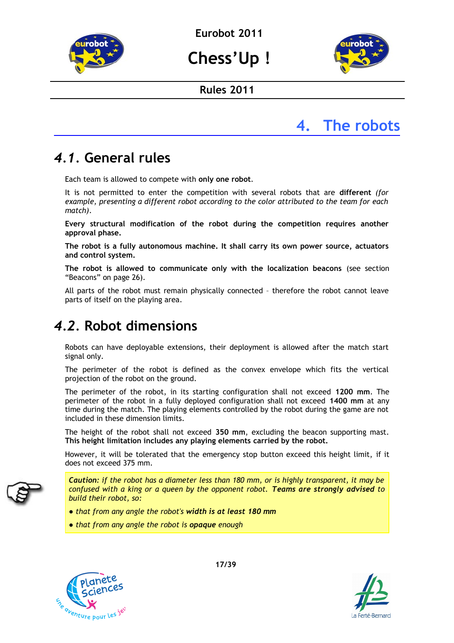



#### **Rules 2011**

### <span id="page-16-2"></span>**4. The robots**

### <span id="page-16-1"></span>*4.1.* **General rules**

Each team is allowed to compete with **only one robot**.

It is not permitted to enter the competition with several robots that are **different** *(for example, presenting a different robot according to the color attributed to the team for each match)*.

**Every structural modification of the robot during the competition requires another approval phase.** 

**The robot is a fully autonomous machine. It shall carry its own power source, actuators and control system.**

**The robot is allowed to communicate only with the localization beacons** (see section ["Beacons"](#page-25-1) on page [26\)](#page-25-1).

All parts of the robot must remain physically connected – therefore the robot cannot leave parts of itself on the playing area.

### <span id="page-16-0"></span>*4.2.* **Robot dimensions**

Robots can have deployable extensions, their deployment is allowed after the match start signal only.

The perimeter of the robot is defined as the convex envelope which fits the vertical projection of the robot on the ground.

The perimeter of the robot, in its starting configuration shall not exceed **1200 mm**. The perimeter of the robot in a fully deployed configuration shall not exceed **1400 mm** at any time during the match. The playing elements controlled by the robot during the game are not included in these dimension limits.

The height of the robot shall not exceed **350 mm**, excluding the beacon supporting mast. **This height limitation includes any playing elements carried by the robot.**

However, it will be tolerated that the emergency stop button exceed this height limit, if it does not exceed 375 mm.



*Caution: if the robot has a diameter less than 180 mm, or is highly transparent, it may be confused with a king or a queen by the opponent robot. Teams are strongly advised to build their robot, so:*

- *that from any angle the robot's width is at least 180 mm*
- *that from any angle the robot is opaque enough*



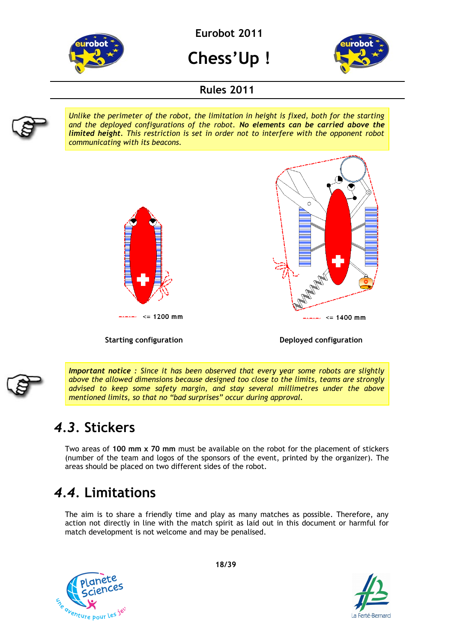

**Chess'Up !**



### **Rules 2011**



*Unlike the perimeter of the robot, the limitation in height is fixed, both for the starting and the deployed configurations of the robot. No elements can be carried above the limited height. This restriction is set in order not to interfere with the opponent robot communicating with its beacons.*



**Starting configuration Deployed configuration**

 $= 1400$  mm



*Important notice : Since it has been observed that every year some robots are slightly above the allowed dimensions because designed too close to the limits, teams are strongly advised to keep some safety margin, and stay several millimetres under the above mentioned limits, so that no "bad surprises" occur during approval.*

### <span id="page-17-1"></span>*4.3.* **Stickers**

Two areas of **100 mm x 70 mm** must be available on the robot for the placement of stickers (number of the team and logos of the sponsors of the event, printed by the organizer). The areas should be placed on two different sides of the robot.

### <span id="page-17-0"></span>*4.4.* **Limitations**

The aim is to share a friendly time and play as many matches as possible. Therefore, any action not directly in line with the match spirit as laid out in this document or harmful for match development is not welcome and may be penalised.



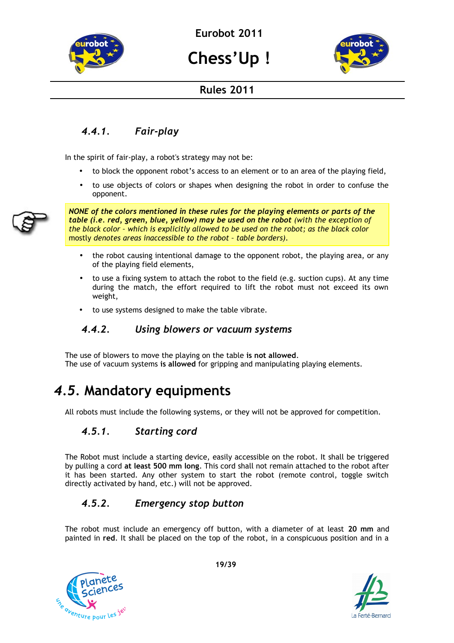



### **Rules 2011**

#### <span id="page-18-4"></span>*4.4.1. Fair-play*

In the spirit of fair-play, a robot's strategy may not be:

- to block the opponent robot's access to an element or to an area of the playing field,
- to use objects of colors or shapes when designing the robot in order to confuse the opponent.



*NONE of the colors mentioned in these rules for the playing elements or parts of the table (i.e. red, green, blue, yellow) may be used on the robot (with the exception of the black color – which is explicitly allowed to be used on the robot; as the black color* mostly *denotes areas inaccessible to the robot – table borders).*

- the robot causing intentional damage to the opponent robot, the playing area, or any of the playing field elements,
- to use a fixing system to attach the robot to the field (e.g. suction cups). At any time during the match, the effort required to lift the robot must not exceed its own weight,
- to use systems designed to make the table vibrate.

#### <span id="page-18-3"></span>*4.4.2. Using blowers or vacuum systems*

The use of blowers to move the playing on the table **is not allowed**. The use of vacuum systems **is allowed** for gripping and manipulating playing elements.

### <span id="page-18-2"></span>*4.5.* **Mandatory equipments**

All robots must include the following systems, or they will not be approved for competition.

#### <span id="page-18-1"></span>*4.5.1. Starting cord*

The Robot must include a starting device, easily accessible on the robot. It shall be triggered by pulling a cord **at least 500 mm long**. This cord shall not remain attached to the robot after it has been started. Any other system to start the robot (remote control, toggle switch directly activated by hand, etc.) will not be approved.

#### <span id="page-18-0"></span>*4.5.2. Emergency stop button*

The robot must include an emergency off button, with a diameter of at least **20 mm** and painted in **red**. It shall be placed on the top of the robot, in a conspicuous position and in a



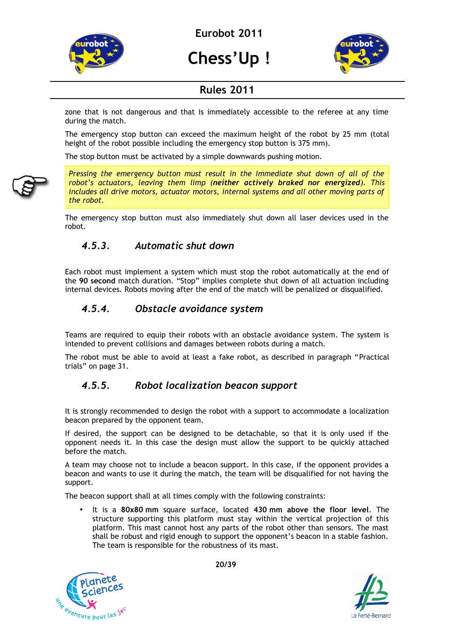

**Chess'Up !**



### **Rules 2011**

zone that is not dangerous and that is immediately accessible to the referee at any time during the match.

The emergency stop button can exceed the maximum height of the robot by 25 mm (total height of the robot possible including the emergency stop button is 375 mm).

The stop button must be activated by a simple downwards pushing motion.



*Pressing the emergency button must result in the immediate shut down of all of the robot's actuators, leaving them limp (neither actively braked nor energized). This includes all drive motors, actuator motors, internal systems and all other moving parts of the robot.*

The emergency stop button must also immediately shut down all laser devices used in the robot.

#### <span id="page-19-2"></span>*4.5.3. Automatic shut down*

Each robot must implement a system which must stop the robot automatically at the end of the **90 second** match duration. "Stop" implies complete shut down of all actuation including internal devices. Robots moving after the end of the match will be penalized or disqualified.

#### <span id="page-19-1"></span>*4.5.4. Obstacle avoidance system*

Teams are required to equip their robots with an obstacle avoidance system. The system is intended to prevent collisions and damages between robots during a match.

The robot must be able to avoid at least a fake robot, as described in paragraph "[Practical](#page-30-0) [trials"](#page-30-0) on page [31.](#page-30-0)

#### <span id="page-19-0"></span>*4.5.5. Robot localization beacon support*

It is strongly recommended to design the robot with a support to accommodate a localization beacon prepared by the opponent team.

If desired, the support can be designed to be detachable, so that it is only used if the opponent needs it. In this case the design must allow the support to be quickly attached before the match.

A team may choose not to include a beacon support. In this case, if the opponent provides a beacon and wants to use it during the match, the team will be disqualified for not having the support.

The beacon support shall at all times comply with the following constraints:

• It is a **80x80 mm** square surface, located **430 mm above the floor level**. The structure supporting this platform must stay within the vertical projection of this platform. This mast cannot host any parts of the robot other than sensors. The mast shall be robust and rigid enough to support the opponent's beacon in a stable fashion. The team is responsible for the robustness of its mast.



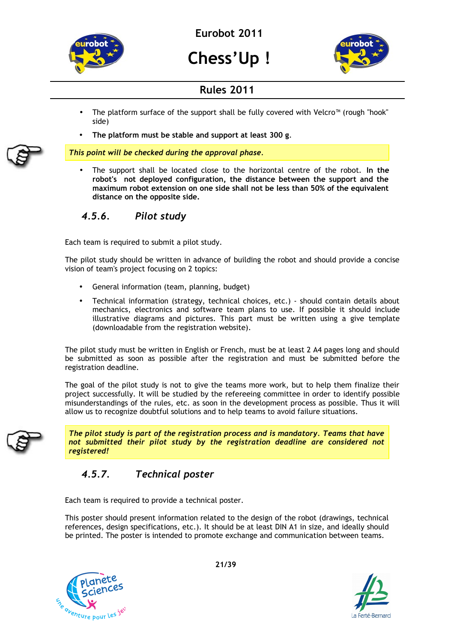

**Chess'Up !**



### **Rules 2011**

- The platform surface of the support shall be fully covered with Velcro™ (rough "hook" side)
- **The platform must be stable and support at least 300 g**.

*This point will be checked during the approval phase.*

• The support shall be located close to the horizontal centre of the robot. **In the robot's not deployed configuration, the distance between the support and the maximum robot extension on one side shall not be less than 50% of the equivalent distance on the opposite side.**

#### <span id="page-20-1"></span>*4.5.6. Pilot study*

Each team is required to submit a pilot study.

The pilot study should be written in advance of building the robot and should provide a concise vision of team's project focusing on 2 topics:

- General information (team, planning, budget)
- Technical information (strategy, technical choices, etc.) should contain details about mechanics, electronics and software team plans to use. If possible it should include illustrative diagrams and pictures. This part must be written using a give template (downloadable from the registration website).

The pilot study must be written in English or French, must be at least 2 A4 pages long and should be submitted as soon as possible after the registration and must be submitted before the registration deadline.

The goal of the pilot study is not to give the teams more work, but to help them finalize their project successfully. It will be studied by the refereeing committee in order to identify possible misunderstandings of the rules, etc. as soon in the development process as possible. Thus it will allow us to recognize doubtful solutions and to help teams to avoid failure situations.



*The pilot study is part of the registration process and is mandatory. Teams that have not submitted their pilot study by the registration deadline are considered not registered!*

### <span id="page-20-0"></span>*4.5.7. Technical poster*

Each team is required to provide a technical poster.

This poster should present information related to the design of the robot (drawings, technical references, design specifications, etc.). It should be at least DIN A1 in size, and ideally should be printed. The poster is intended to promote exchange and communication between teams.



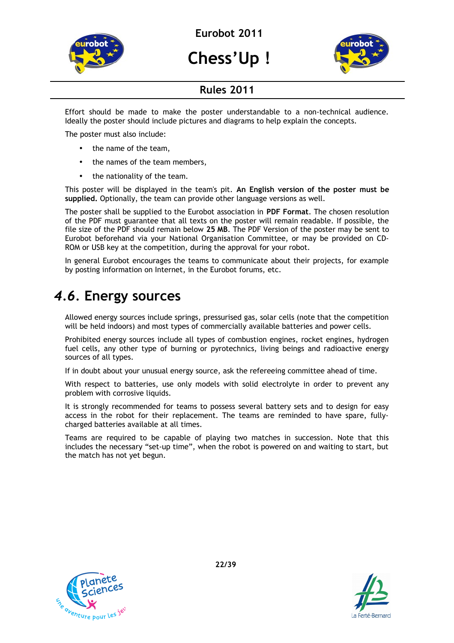



**Chess'Up !**



### **Rules 2011**

Effort should be made to make the poster understandable to a non-technical audience. Ideally the poster should include pictures and diagrams to help explain the concepts.

The poster must also include:

- the name of the team,
- the names of the team members,
- the nationality of the team.

This poster will be displayed in the team's pit. **An English version of the poster must be supplied.** Optionally, the team can provide other language versions as well.

The poster shall be supplied to the Eurobot association in **PDF Format**. The chosen resolution of the PDF must guarantee that all texts on the poster will remain readable. If possible, the file size of the PDF should remain below **25 MB**. The PDF Version of the poster may be sent to Eurobot beforehand via your National Organisation Committee, or may be provided on CD-ROM or USB key at the competition, during the approval for your robot.

In general Eurobot encourages the teams to communicate about their projects, for example by posting information on Internet, in the Eurobot forums, etc.

### <span id="page-21-0"></span>*4.6.* **Energy sources**

Allowed energy sources include springs, pressurised gas, solar cells (note that the competition will be held indoors) and most types of commercially available batteries and power cells.

Prohibited energy sources include all types of combustion engines, rocket engines, hydrogen fuel cells, any other type of burning or pyrotechnics, living beings and radioactive energy sources of all types.

If in doubt about your unusual energy source, ask the refereeing committee ahead of time.

With respect to batteries, use only models with solid electrolyte in order to prevent any problem with corrosive liquids.

It is strongly recommended for teams to possess several battery sets and to design for easy access in the robot for their replacement. The teams are reminded to have spare, fullycharged batteries available at all times.

Teams are required to be capable of playing two matches in succession. Note that this includes the necessary "set-up time", when the robot is powered on and waiting to start, but the match has not yet begun.



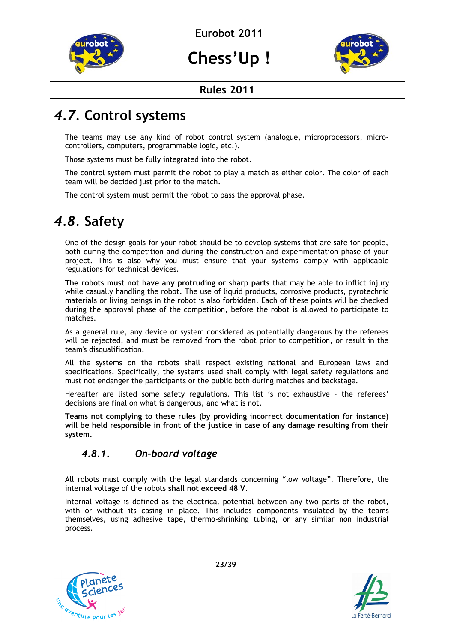



### **Rules 2011**

### *4.7.* **Control systems**

<span id="page-22-1"></span>The teams may use any kind of robot control system (analogue, microprocessors, microcontrollers, computers, programmable logic, etc.).

Those systems must be fully integrated into the robot.

The control system must permit the robot to play a match as either color. The color of each team will be decided just prior to the match.

<span id="page-22-0"></span>The control system must permit the robot to pass the approval phase.

### *4.8.* **Safety**

One of the design goals for your robot should be to develop systems that are safe for people, both during the competition and during the construction and experimentation phase of your project. This is also why you must ensure that your systems comply with applicable regulations for technical devices.

**The robots must not have any protruding or sharp parts** that may be able to inflict injury while casually handling the robot. The use of liquid products, corrosive products, pyrotechnic materials or living beings in the robot is also forbidden. Each of these points will be checked during the approval phase of the competition, before the robot is allowed to participate to matches.

As a general rule, any device or system considered as potentially dangerous by the referees will be rejected, and must be removed from the robot prior to competition, or result in the team's disqualification.

All the systems on the robots shall respect existing national and European laws and specifications. Specifically, the systems used shall comply with legal safety regulations and must not endanger the participants or the public both during matches and backstage.

Hereafter are listed some safety regulations. This list is not exhaustive - the referees' decisions are final on what is dangerous, and what is not.

**Teams not complying to these rules (by providing incorrect documentation for instance) will be held responsible in front of the justice in case of any damage resulting from their system.**

#### <span id="page-22-2"></span>*4.8.1. On-board voltage*

All robots must comply with the legal standards concerning "low voltage". Therefore, the internal voltage of the robots **shall not exceed 48 V**.

Internal voltage is defined as the electrical potential between any two parts of the robot, with or without its casing in place. This includes components insulated by the teams themselves, using adhesive tape, thermo-shrinking tubing, or any similar non industrial process.



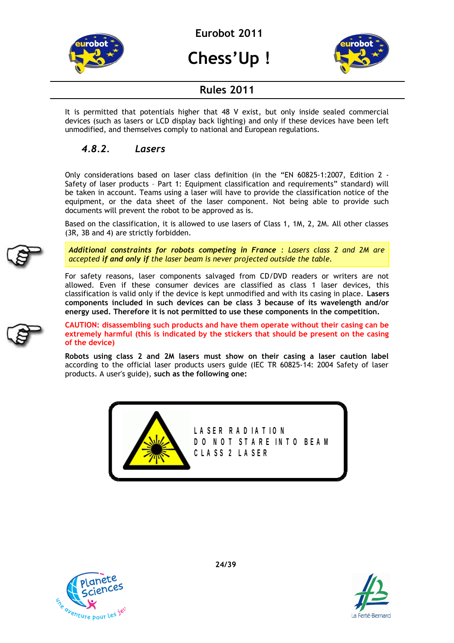

**Chess'Up !**



### **Rules 2011**

It is permitted that potentials higher that 48 V exist, but only inside sealed commercial devices (such as lasers or LCD display back lighting) and only if these devices have been left unmodified, and themselves comply to national and European regulations.

#### <span id="page-23-0"></span>*4.8.2. Lasers*

Only considerations based on laser class definition (in the "EN 60825-1:2007, Edition 2 - Safety of laser products – Part 1: Equipment classification and requirements" standard) will be taken in account. Teams using a laser will have to provide the classification notice of the equipment, or the data sheet of the laser component. Not being able to provide such documents will prevent the robot to be approved as is.

Based on the classification, it is allowed to use lasers of Class 1, 1M, 2, 2M. All other classes (3R, 3B and 4) are strictly forbidden.

*Additional constraints for robots competing in France : Lasers class 2 and 2M are accepted if and only if the laser beam is never projected outside the table.* 

For safety reasons, laser components salvaged from CD/DVD readers or writers are not allowed. Even if these consumer devices are classified as class 1 laser devices, this classification is valid only if the device is kept unmodified and with its casing in place. **Lasers components included in such devices can be class 3 because of its wavelength and/or energy used. Therefore it is not permitted to use these components in the competition.**



**CAUTION: disassembling such products and have them operate without their casing can be extremely harmful (this is indicated by the stickers that should be present on the casing of the device)**

**Robots using class 2 and 2M lasers must show on their casing a laser caution label** according to the official laser products users guide (IEC TR 60825-14: 2004 Safety of laser products. A user's guide), **such as the following one:**





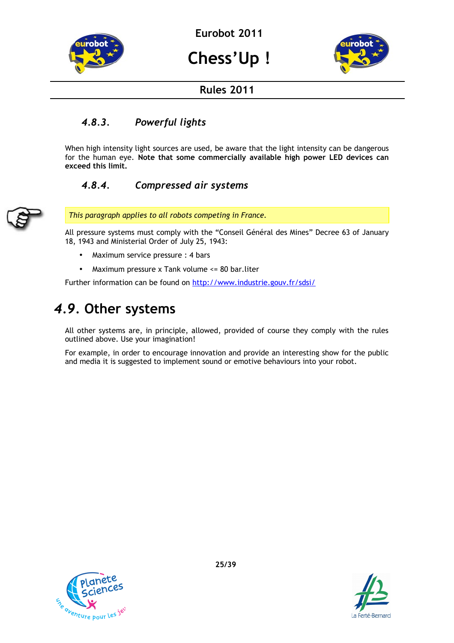



### **Rules 2011**

### <span id="page-24-2"></span>*4.8.3. Powerful lights*

When high intensity light sources are used, be aware that the light intensity can be dangerous for the human eye. **Note that some commercially available high power LED devices can exceed this limit.**

### <span id="page-24-1"></span>*4.8.4. Compressed air systems*



*This paragraph applies to all robots competing in France.* 

All pressure systems must comply with the "Conseil Général des Mines" Decree 63 of January 18, 1943 and Ministerial Order of July 25, 1943:

- Maximum service pressure : 4 bars
- Maximum pressure x Tank volume <= 80 bar.liter

<span id="page-24-0"></span>Further information can be found on<http://www.industrie.gouv.fr/sdsi/>

### *4.9.* **Other systems**

All other systems are, in principle, allowed, provided of course they comply with the rules outlined above. Use your imagination!

For example, in order to encourage innovation and provide an interesting show for the public and media it is suggested to implement sound or emotive behaviours into your robot.



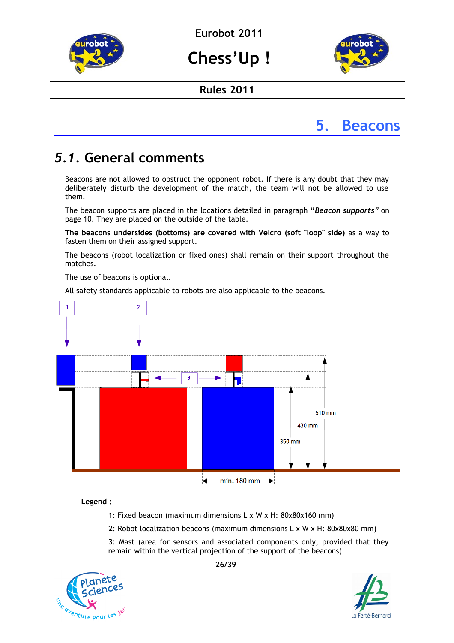

**Chess'Up !**



### **Rules 2011**

<span id="page-25-1"></span>

### <span id="page-25-0"></span>*5.1.* **General comments**

Beacons are not allowed to obstruct the opponent robot. If there is any doubt that they may deliberately disturb the development of the match, the team will not be allowed to use them.

The beacon supports are placed in the locations detailed in paragraph "*Beacon supports"* on page 10. They are placed on the outside of the table.

**The beacons undersides (bottoms) are covered with Velcro (soft "loop" side)** as a way to fasten them on their assigned support.

The beacons (robot localization or fixed ones) shall remain on their support throughout the matches.

The use of beacons is optional.

All safety standards applicable to robots are also applicable to the beacons.



**Legend :**

- **1**: Fixed beacon (maximum dimensions L x W x H: 80x80x160 mm)
- **2**: Robot localization beacons (maximum dimensions L x W x H: 80x80x80 mm)
- **3**: Mast (area for sensors and associated components only, provided that they remain within the vertical projection of the support of the beacons)



La Ferté-Bernard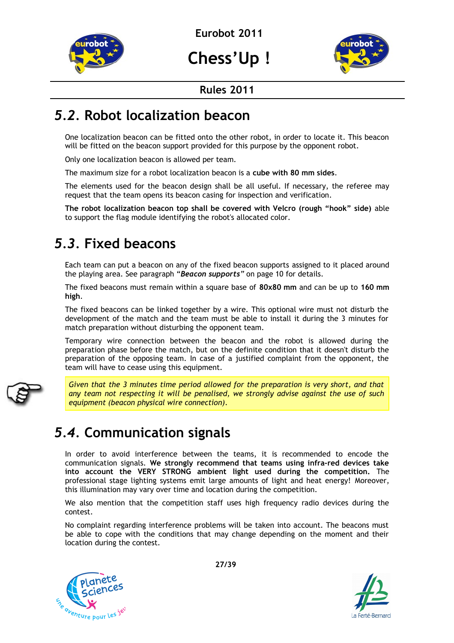

**Chess'Up !**



### **Rules 2011**

### <span id="page-26-2"></span>*5.2.* **Robot localization beacon**

One localization beacon can be fitted onto the other robot, in order to locate it. This beacon will be fitted on the beacon support provided for this purpose by the opponent robot.

Only one localization beacon is allowed per team.

The maximum size for a robot localization beacon is a **cube with 80 mm sides**.

The elements used for the beacon design shall be all useful. If necessary, the referee may request that the team opens its beacon casing for inspection and verification.

**The robot localization beacon top shall be covered with Velcro (rough "hook" side)** able to support the flag module identifying the robot's allocated color.

### <span id="page-26-1"></span>*5.3.* **Fixed beacons**

Each team can put a beacon on any of the fixed beacon supports assigned to it placed around the playing area. See paragraph "*Beacon supports"* on page 10 for details.

The fixed beacons must remain within a square base of **80x80 mm** and can be up to **160 mm high**.

The fixed beacons can be linked together by a wire. This optional wire must not disturb the development of the match and the team must be able to install it during the 3 minutes for match preparation without disturbing the opponent team.

Temporary wire connection between the beacon and the robot is allowed during the preparation phase before the match, but on the definite condition that it doesn't disturb the preparation of the opposing team. In case of a justified complaint from the opponent, the team will have to cease using this equipment.



*Given that the 3 minutes time period allowed for the preparation is very short, and that any team not respecting it will be penalised, we strongly advise against the use of such equipment (beacon physical wire connection).*

### <span id="page-26-0"></span>*5.4.* **Communication signals**

In order to avoid interference between the teams, it is recommended to encode the communication signals. **We strongly recommend that teams using infra-red devices take into account the VERY STRONG ambient light used during the competition.** The professional stage lighting systems emit large amounts of light and heat energy! Moreover, this illumination may vary over time and location during the competition.

We also mention that the competition staff uses high frequency radio devices during the contest.

No complaint regarding interference problems will be taken into account. The beacons must be able to cope with the conditions that may change depending on the moment and their location during the contest.



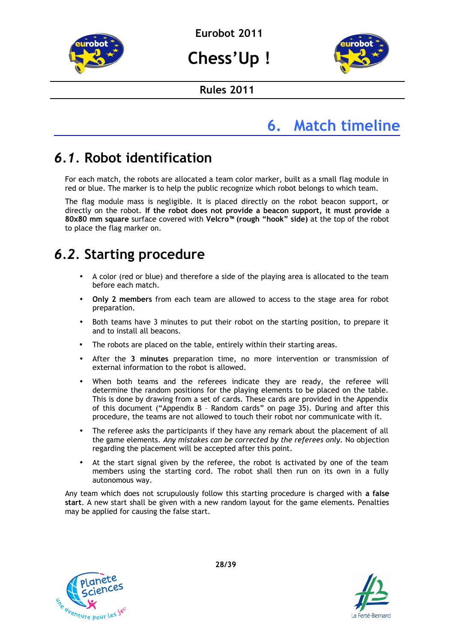



### **Rules 2011**

# <span id="page-27-2"></span>**6. Match timeline**

### <span id="page-27-1"></span>*6.1.* **Robot identification**

For each match, the robots are allocated a team color marker, built as a small flag module in red or blue. The marker is to help the public recognize which robot belongs to which team.

The flag module mass is negligible. It is placed directly on the robot beacon support, or directly on the robot. **If the robot does not provide a beacon support, it must provide** a **80x80 mm square** surface covered with **Velcro™ (rough "hook" side)** at the top of the robot to place the flag marker on.

### *6.2.* **Starting procedure**

- <span id="page-27-0"></span>• A color (red or blue) and therefore a side of the playing area is allocated to the team before each match.
- **Only 2 members** from each team are allowed to access to the stage area for robot preparation.
- Both teams have 3 minutes to put their robot on the starting position, to prepare it and to install all beacons.
- The robots are placed on the table, entirely within their starting areas.
- After the **3 minutes** preparation time, no more intervention or transmission of external information to the robot is allowed.
- When both teams and the referees indicate they are ready, the referee will determine the random positions for the playing elements to be placed on the table. This is done by drawing from a set of cards. These cards are provided in the Appendix of this document (["Appendix B – Random cards"](#page-35-0) on page 35). During and after this procedure, the teams are not allowed to touch their robot nor communicate with it.
- The referee asks the participants if they have any remark about the placement of all the game elements. *Any mistakes can be corrected by the referees only.* No objection regarding the placement will be accepted after this point.
- At the start signal given by the referee, the robot is activated by one of the team members using the starting cord. The robot shall then run on its own in a fully autonomous way.

Any team which does not scrupulously follow this starting procedure is charged with **a false start**. A new start shall be given with a new random layout for the game elements. Penalties may be applied for causing the false start.



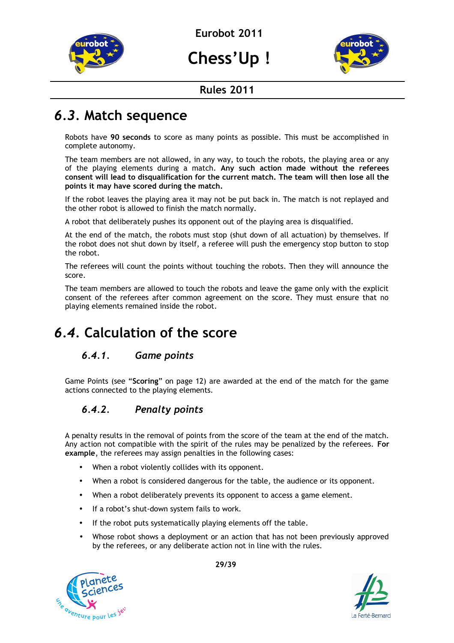

**Chess'Up !**



### **Rules 2011**

### <span id="page-28-3"></span>*6.3.* **Match sequence**

Robots have **90 seconds** to score as many points as possible. This must be accomplished in complete autonomy.

The team members are not allowed, in any way, to touch the robots, the playing area or any of the playing elements during a match. **Any such action made without the referees consent will lead to disqualification for the current match. The team will then lose all the points it may have scored during the match.**

If the robot leaves the playing area it may not be put back in. The match is not replayed and the other robot is allowed to finish the match normally.

A robot that deliberately pushes its opponent out of the playing area is disqualified.

At the end of the match, the robots must stop (shut down of all actuation) by themselves. If the robot does not shut down by itself, a referee will push the emergency stop button to stop the robot.

The referees will count the points without touching the robots. Then they will announce the score.

The team members are allowed to touch the robots and leave the game only with the explicit consent of the referees after common agreement on the score. They must ensure that no playing elements remained inside the robot.

### *6.4.* **Calculation of the score**

#### <span id="page-28-2"></span><span id="page-28-1"></span>*6.4.1. Game points*

Game Points (see "**Scoring**" on page 12) are awarded at the end of the match for the game actions connected to the playing elements.

#### <span id="page-28-0"></span>*6.4.2. Penalty points*

A penalty results in the removal of points from the score of the team at the end of the match. Any action not compatible with the spirit of the rules may be penalized by the referees. **For example**, the referees may assign penalties in the following cases:

- When a robot violently collides with its opponent.
- When a robot is considered dangerous for the table, the audience or its opponent.
- When a robot deliberately prevents its opponent to access a game element.
- If a robot's shut-down system fails to work.
- If the robot puts systematically playing elements off the table.
- Whose robot shows a deployment or an action that has not been previously approved by the referees, or any deliberate action not in line with the rules.



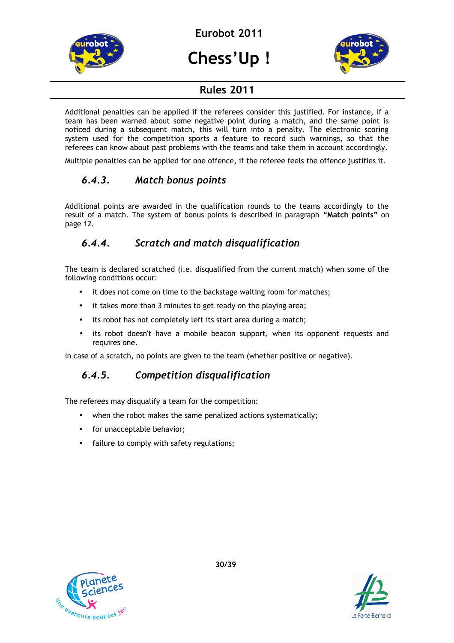

**Chess'Up !**



### **Rules 2011**

Additional penalties can be applied if the referees consider this justified. For instance, if a team has been warned about some negative point during a match, and the same point is noticed during a subsequent match, this will turn into a penalty. The electronic scoring system used for the competition sports a feature to record such warnings, so that the referees can know about past problems with the teams and take them in account accordingly.

Multiple penalties can be applied for one offence, if the referee feels the offence justifies it.

#### <span id="page-29-2"></span>*6.4.3. Match bonus points*

Additional points are awarded in the qualification rounds to the teams accordingly to the result of a match. The system of bonus points is described in paragraph **"Match points"** on page 12.

#### <span id="page-29-1"></span>*6.4.4. Scratch and match disqualification*

The team is declared scratched (i.e. disqualified from the current match) when some of the following conditions occur:

- it does not come on time to the backstage waiting room for matches;
- it takes more than 3 minutes to get ready on the playing area;
- its robot has not completely left its start area during a match;
- its robot doesn't have a mobile beacon support, when its opponent requests and requires one.

In case of a scratch, no points are given to the team (whether positive or negative).

#### <span id="page-29-0"></span>*6.4.5. Competition disqualification*

The referees may disqualify a team for the competition:

- when the robot makes the same penalized actions systematically;
- for unacceptable behavior;
- failure to comply with safety regulations;



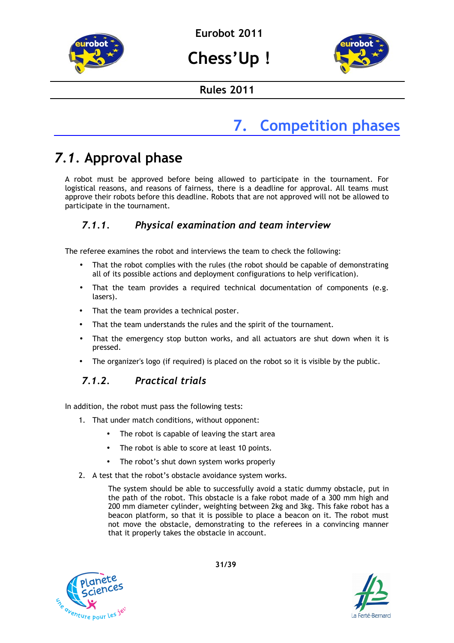



### **Rules 2011**

# <span id="page-30-3"></span>**7. Competition phases**

### <span id="page-30-2"></span>*7.1.* **Approval phase**

A robot must be approved before being allowed to participate in the tournament. For logistical reasons, and reasons of fairness, there is a deadline for approval. All teams must approve their robots before this deadline. Robots that are not approved will not be allowed to participate in the tournament.

### <span id="page-30-1"></span>*7.1.1. Physical examination and team interview*

The referee examines the robot and interviews the team to check the following:

- That the robot complies with the rules (the robot should be capable of demonstrating all of its possible actions and deployment configurations to help verification).
- That the team provides a required technical documentation of components (e.g. lasers).
- That the team provides a technical poster.
- That the team understands the rules and the spirit of the tournament.
- That the emergency stop button works, and all actuators are shut down when it is pressed.
- The organizer's logo (if required) is placed on the robot so it is visible by the public.

### <span id="page-30-0"></span>*7.1.2. Practical trials*

In addition, the robot must pass the following tests:

- 1. That under match conditions, without opponent:
	- The robot is capable of leaving the start area
	- The robot is able to score at least 10 points.
	- The robot's shut down system works properly
- 2. A test that the robot's obstacle avoidance system works.

The system should be able to successfully avoid a static dummy obstacle, put in the path of the robot. This obstacle is a fake robot made of a 300 mm high and 200 mm diameter cylinder, weighting between 2kg and 3kg. This fake robot has a beacon platform, so that it is possible to place a beacon on it. The robot must not move the obstacle, demonstrating to the referees in a convincing manner that it properly takes the obstacle in account.



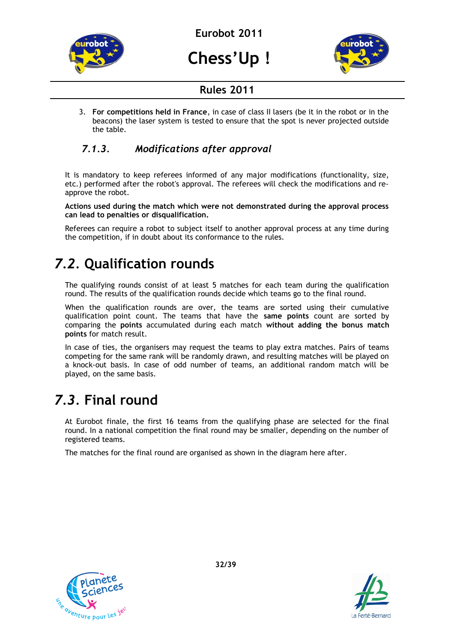

**Chess'Up !**



### **Rules 2011**

3. **For competitions held in France**, in case of class II lasers (be it in the robot or in the beacons) the laser system is tested to ensure that the spot is never projected outside the table.

### <span id="page-31-2"></span>*7.1.3. Modifications after approval*

It is mandatory to keep referees informed of any major modifications (functionality, size, etc.) performed after the robot's approval. The referees will check the modifications and reapprove the robot.

**Actions used during the match which were not demonstrated during the approval process can lead to penalties or disqualification.**

Referees can require a robot to subject itself to another approval process at any time during the competition, if in doubt about its conformance to the rules.

### <span id="page-31-1"></span>*7.2.* **Qualification rounds**

The qualifying rounds consist of at least 5 matches for each team during the qualification round. The results of the qualification rounds decide which teams go to the final round.

When the qualification rounds are over, the teams are sorted using their cumulative qualification point count. The teams that have the **same points** count are sorted by comparing the **points** accumulated during each match **without adding the bonus match points** for match result.

In case of ties, the organisers may request the teams to play extra matches. Pairs of teams competing for the same rank will be randomly drawn, and resulting matches will be played on a knock-out basis. In case of odd number of teams, an additional random match will be played, on the same basis.

### <span id="page-31-0"></span>*7.3.* **Final round**

At Eurobot finale, the first 16 teams from the qualifying phase are selected for the final round. In a national competition the final round may be smaller, depending on the number of registered teams.

The matches for the final round are organised as shown in the diagram here after.



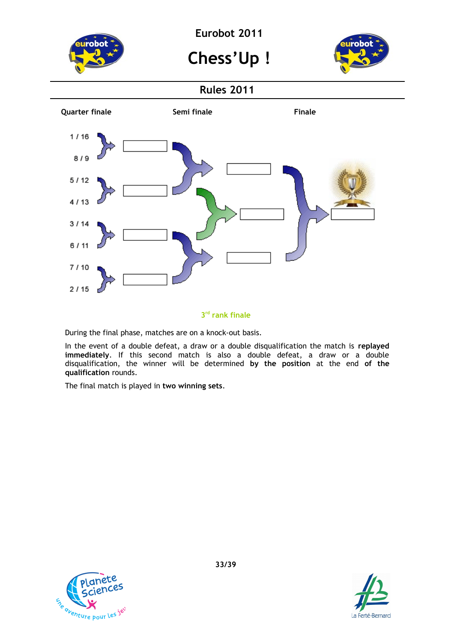

# **Chess'Up !**



### **Rules 2011**



#### **3 rd rank finale**

During the final phase, matches are on a knock-out basis.

In the event of a double defeat, a draw or a double disqualification the match is **replayed immediately**. If this second match is also a double defeat, a draw or a double disqualification, the winner will be determined **by the position** at the end **of the qualification** rounds.

The final match is played in **two winning sets**.



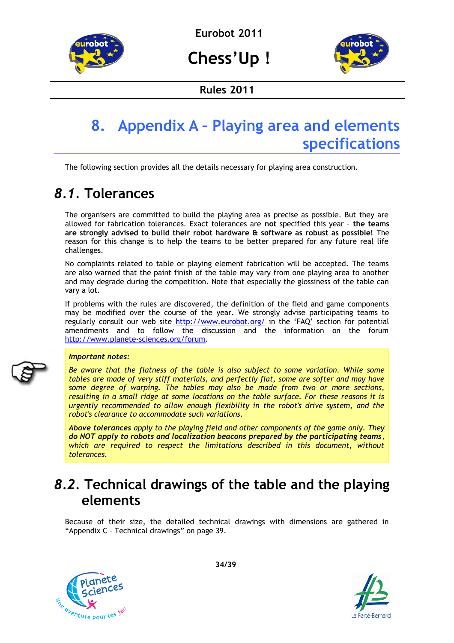



### **Rules 2011**

# <span id="page-33-2"></span>**8. Appendix A – Playing area and elements specifications**

<span id="page-33-1"></span>The following section provides all the details necessary for playing area construction.

### *8.1.* **Tolerances**

The organisers are committed to build the playing area as precise as possible. But they are allowed for fabrication tolerances. Exact tolerances are **not** specified this year – **the teams are strongly advised to build their robot hardware & software as robust as possible!** The reason for this change is to help the teams to be better prepared for any future real life challenges.

No complaints related to table or playing element fabrication will be accepted. The teams are also warned that the paint finish of the table may vary from one playing area to another and may degrade during the competition. Note that especially the glossiness of the table can vary a lot.

If problems with the rules are discovered, the definition of the field and game components may be modified over the course of the year. We strongly advise participating teams to regularly consult our web site<http://www.eurobot.org/>in the 'FAQ' section for potential amendments and to follow the discussion and the information on the forum [http://www.planete-sciences.org/forum.](http://www.planete-sciences.org/forum)

#### *Important notes:*

*Be aware that the flatness of the table is also subject to some variation. While some tables are made of very stiff materials, and perfectly flat, some are softer and may have some degree of warping. The tables may also be made from two or more sections, resulting in a small ridge at some locations on the table surface. For these reasons it is urgently recommended to allow enough flexibility in the robot's drive system, and the robot's clearance to accommodate such variations.*

*Above tolerances apply to the playing field and other components of the game only. They do NOT apply to robots and localization beacons prepared by the participating teams, which are required to respect the limitations described in this document, without tolerances.*

### <span id="page-33-0"></span>*8.2.* **Technical drawings of the table and the playing elements**

Because of their size, the detailed technical drawings with dimensions are gathered in ["Appendix C – Technical drawings"](#page-38-0) on page [39.](#page-38-0)





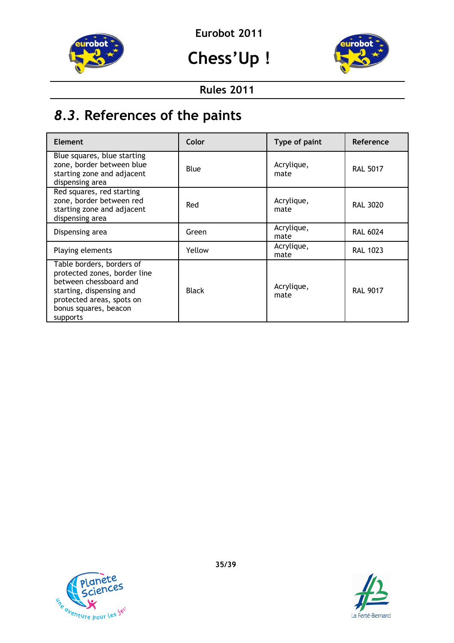

# **Chess'Up !**



### **Rules 2011**

# <span id="page-34-0"></span>*8.3.* **References of the paints**

| Element                                                                                                                                                                           | Color        | Type of paint      | Reference       |
|-----------------------------------------------------------------------------------------------------------------------------------------------------------------------------------|--------------|--------------------|-----------------|
| Blue squares, blue starting<br>zone, border between blue<br>starting zone and adjacent<br>dispensing area                                                                         | Blue         | Acrylique,<br>mate | <b>RAL 5017</b> |
| Red squares, red starting<br>zone, border between red<br>starting zone and adjacent<br>dispensing area                                                                            | Red          | Acrylique,<br>mate | <b>RAL 3020</b> |
| Dispensing area                                                                                                                                                                   | Green        | Acrylique,<br>mate | <b>RAL 6024</b> |
| Playing elements                                                                                                                                                                  | Yellow       | Acrylique,<br>mate | <b>RAL 1023</b> |
| Table borders, borders of<br>protected zones, border line<br>between chessboard and<br>starting, dispensing and<br>protected areas, spots on<br>bonus squares, beacon<br>supports | <b>Black</b> | Acrylique,<br>mate | <b>RAL 9017</b> |

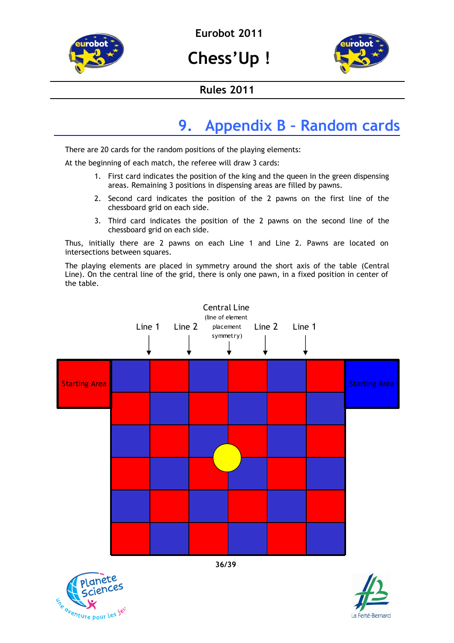

**Chess'Up !**



### **Rules 2011**

# <span id="page-35-0"></span>**9. Appendix B – Random cards**

There are 20 cards for the random positions of the playing elements:

At the beginning of each match, the referee will draw 3 cards:

- 1. First card indicates the position of the king and the queen in the green dispensing areas. Remaining 3 positions in dispensing areas are filled by pawns.
- 2. Second card indicates the position of the 2 pawns on the first line of the chessboard grid on each side.
- 3. Third card indicates the position of the 2 pawns on the second line of the chessboard grid on each side.

Thus, initially there are 2 pawns on each Line 1 and Line 2. Pawns are located on intersections between squares.

The playing elements are placed in symmetry around the short axis of the table (Central Line). On the central line of the grid, there is only one pawn, in a fixed position in center of the table.



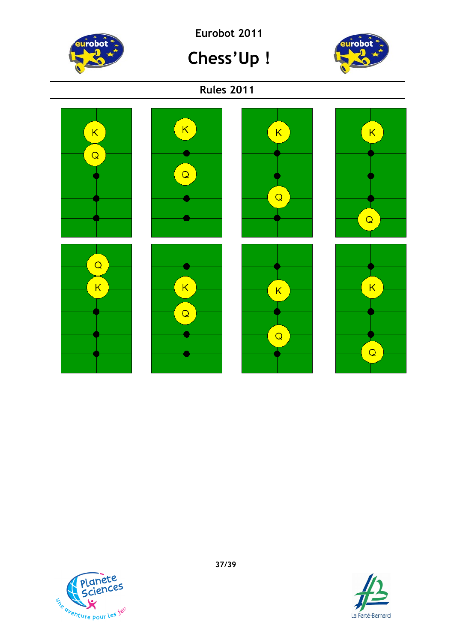





### **Rules 2011**





La Ferté-Bernard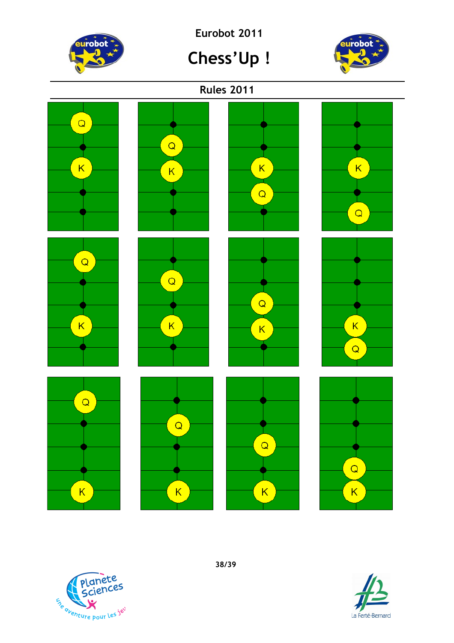